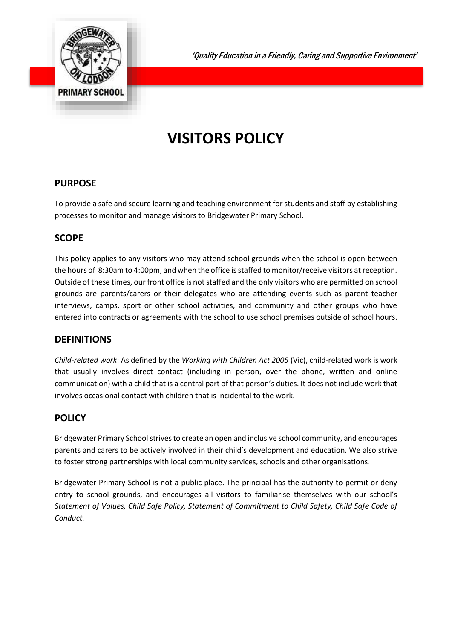

'Quality Education in a Friendly, Caring and Supportive Environment'

# **VISITORS POLICY**

## **PURPOSE**

To provide a safe and secure learning and teaching environment for students and staff by establishing processes to monitor and manage visitors to Bridgewater Primary School.

## **SCOPE**

This policy applies to any visitors who may attend school grounds when the school is open between the hours of 8:30am to 4:00pm, and when the office is staffed to monitor/receive visitors at reception. Outside of these times, our front office is not staffed and the only visitors who are permitted on school grounds are parents/carers or their delegates who are attending events such as parent teacher interviews, camps, sport or other school activities, and community and other groups who have entered into contracts or agreements with the school to use school premises outside of school hours.

# **DEFINITIONS**

*Child-related work*: As defined by the *Working with Children Act 2005* (Vic), child-related work is work that usually involves direct contact (including in person, over the phone, written and online communication) with a child that is a central part of that person's duties. It does not include work that involves occasional contact with children that is incidental to the work.

# **POLICY**

Bridgewater Primary School strives to create an open and inclusive school community, and encourages parents and carers to be actively involved in their child's development and education. We also strive to foster strong partnerships with local community services, schools and other organisations.

Bridgewater Primary School is not a public place. The principal has the authority to permit or deny entry to school grounds, and encourages all visitors to familiarise themselves with our school's *Statement of Values, Child Safe Policy, Statement of Commitment to Child Safety, Child Safe Code of Conduct.*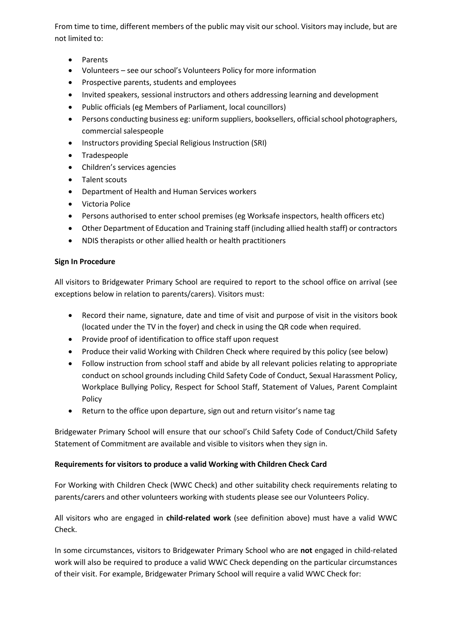From time to time, different members of the public may visit our school. Visitors may include, but are not limited to:

- Parents
- Volunteers see our school's Volunteers Policy for more information
- Prospective parents, students and employees
- Invited speakers, sessional instructors and others addressing learning and development
- Public officials (eg Members of Parliament, local councillors)
- Persons conducting business eg: uniform suppliers, booksellers, official school photographers, commercial salespeople
- Instructors providing Special Religious Instruction (SRI)
- Tradespeople
- Children's services agencies
- Talent scouts
- Department of Health and Human Services workers
- Victoria Police
- Persons authorised to enter school premises (eg Worksafe inspectors, health officers etc)
- Other Department of Education and Training staff (including allied health staff) or contractors
- NDIS therapists or other allied health or health practitioners

#### **Sign In Procedure**

All visitors to Bridgewater Primary School are required to report to the school office on arrival (see exceptions below in relation to parents/carers). Visitors must:

- Record their name, signature, date and time of visit and purpose of visit in the visitors book (located under the TV in the foyer) and check in using the QR code when required.
- Provide proof of identification to office staff upon request
- Produce their valid Working with Children Check where required by this policy (see below)
- Follow instruction from school staff and abide by all relevant policies relating to appropriate conduct on school grounds including Child Safety Code of Conduct, Sexual Harassment Policy, Workplace Bullying Policy, Respect for School Staff, Statement of Values, Parent Complaint Policy
- Return to the office upon departure, sign out and return visitor's name tag

Bridgewater Primary School will ensure that our school's Child Safety Code of Conduct/Child Safety Statement of Commitment are available and visible to visitors when they sign in.

#### **Requirements for visitors to produce a valid Working with Children Check Card**

For Working with Children Check (WWC Check) and other suitability check requirements relating to parents/carers and other volunteers working with students please see our Volunteers Policy.

All visitors who are engaged in **child-related work** (see definition above) must have a valid WWC Check.

In some circumstances, visitors to Bridgewater Primary School who are **not** engaged in child-related work will also be required to produce a valid WWC Check depending on the particular circumstances of their visit. For example, Bridgewater Primary School will require a valid WWC Check for: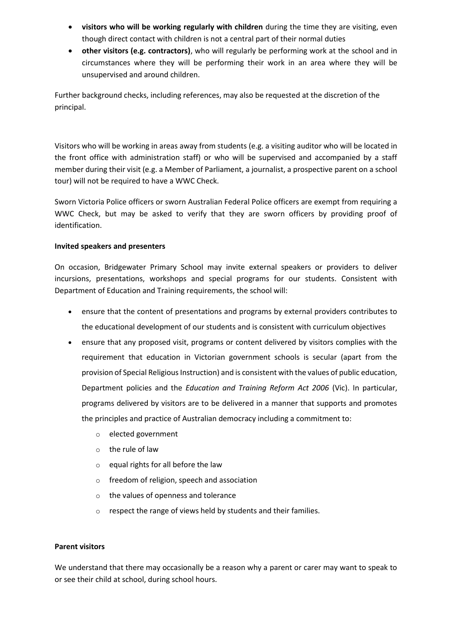- **visitors who will be working regularly with children** during the time they are visiting, even though direct contact with children is not a central part of their normal duties
- **other visitors (e.g. contractors)**, who will regularly be performing work at the school and in circumstances where they will be performing their work in an area where they will be unsupervised and around children.

Further background checks, including references, may also be requested at the discretion of the principal.

Visitors who will be working in areas away from students (e.g. a visiting auditor who will be located in the front office with administration staff) or who will be supervised and accompanied by a staff member during their visit (e.g. a Member of Parliament, a journalist, a prospective parent on a school tour) will not be required to have a WWC Check.

Sworn Victoria Police officers or sworn Australian Federal Police officers are exempt from requiring a WWC Check, but may be asked to verify that they are sworn officers by providing proof of identification.

#### **Invited speakers and presenters**

On occasion, Bridgewater Primary School may invite external speakers or providers to deliver incursions, presentations, workshops and special programs for our students. Consistent with Department of Education and Training requirements, the school will:

- ensure that the content of presentations and programs by external providers contributes to the educational development of our students and is consistent with curriculum objectives
- ensure that any proposed visit, programs or content delivered by visitors complies with the requirement that education in Victorian government schools is secular (apart from the provision of Special Religious Instruction) and is consistent with the values of public education, Department policies and the *Education and Training Reform Act 2006* (Vic). In particular, programs delivered by visitors are to be delivered in a manner that supports and promotes the principles and practice of Australian democracy including a commitment to:
	- o elected government
	- o the rule of law
	- o equal rights for all before the law
	- o freedom of religion, speech and association
	- o the values of openness and tolerance
	- o respect the range of views held by students and their families.

#### **Parent visitors**

We understand that there may occasionally be a reason why a parent or carer may want to speak to or see their child at school, during school hours.